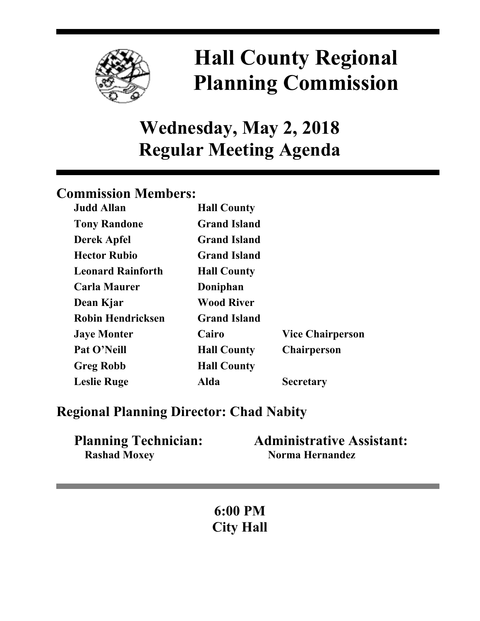

# **Hall County Regional Planning Commission**

## **Wednesday, May 2, 2018 Regular Meeting Agenda**

## **Commission Members:**

| <b>Judd Allan</b>        | <b>Hall County</b>  |                         |
|--------------------------|---------------------|-------------------------|
| <b>Tony Randone</b>      | <b>Grand Island</b> |                         |
| <b>Derek Apfel</b>       | <b>Grand Island</b> |                         |
| <b>Hector Rubio</b>      | <b>Grand Island</b> |                         |
| <b>Leonard Rainforth</b> | <b>Hall County</b>  |                         |
| <b>Carla Maurer</b>      | Doniphan            |                         |
| Dean Kjar                | <b>Wood River</b>   |                         |
| <b>Robin Hendricksen</b> | <b>Grand Island</b> |                         |
| <b>Jaye Monter</b>       | Cairo               | <b>Vice Chairperson</b> |
| Pat O'Neill              | <b>Hall County</b>  | <b>Chairperson</b>      |
| <b>Greg Robb</b>         | <b>Hall County</b>  |                         |
| <b>Leslie Ruge</b>       | Alda                | <b>Secretary</b>        |

### **Regional Planning Director: Chad Nabity**

| <b>Planning Technician:</b> | <b>Administrative Assistant:</b> |
|-----------------------------|----------------------------------|
| <b>Rashad Moxey</b>         | Norma Hernandez                  |

**6:00 PM City Hall**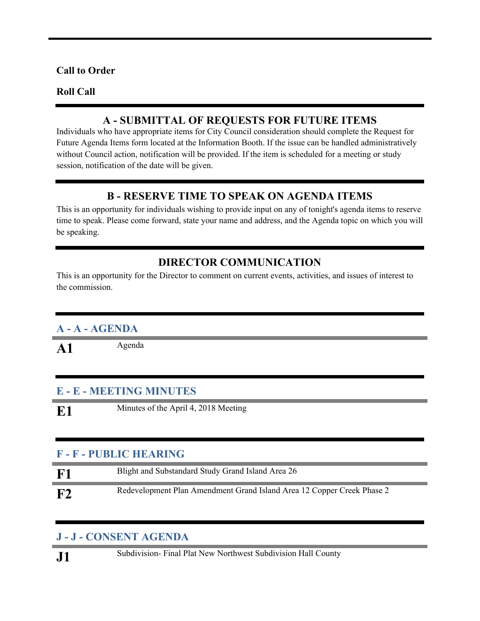#### **Call to Order**

#### **Roll Call**

#### **A - SUBMITTAL OF REQUESTS FOR FUTURE ITEMS**

Individuals who have appropriate items for City Council consideration should complete the Request for Future Agenda Items form located at the Information Booth. If the issue can be handled administratively without Council action, notification will be provided. If the item is scheduled for a meeting or study session, notification of the date will be given.

#### **B - RESERVE TIME TO SPEAK ON AGENDA ITEMS**

This is an opportunity for individuals wishing to provide input on any of tonight's agenda items to reserve time to speak. Please come forward, state your name and address, and the Agenda topic on which you will be speaking.

#### **DIRECTOR COMMUNICATION**

This is an opportunity for the Director to comment on current events, activities, and issues of interest to the commission.

#### **A - A - AGENDA**

A1 Agenda

#### **E - E - MEETING MINUTES**

**E1** Minutes of the April 4, 2018 Meeting

#### **F - F - PUBLIC HEARING**

| ${\bf F1}$ | Blight and Substandard Study Grand Island Area 26                      |
|------------|------------------------------------------------------------------------|
| F2         | Redevelopment Plan Amendment Grand Island Area 12 Copper Creek Phase 2 |

#### **J - J - CONSENT AGENDA**

**J1** Subdivision- Final Plat New Northwest Subdivision Hall County